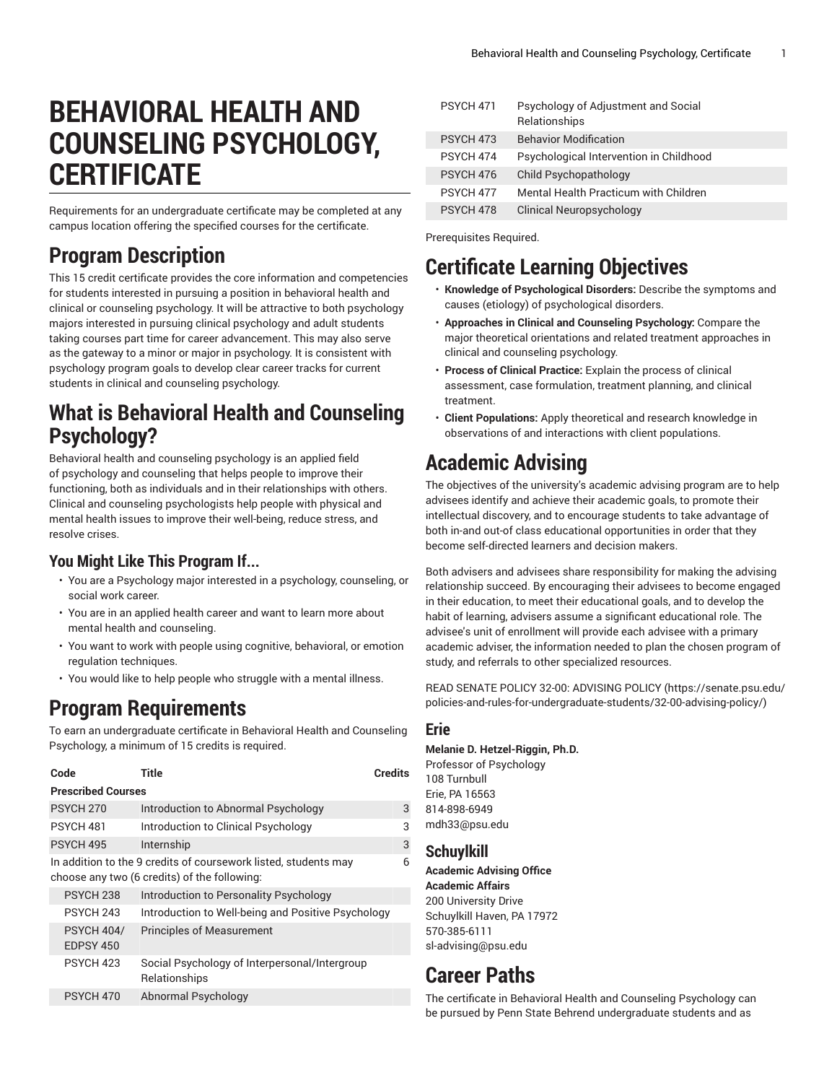# **BEHAVIORAL HEALTH AND COUNSELING PSYCHOLOGY, CERTIFICATE**

Requirements for an undergraduate certificate may be completed at any campus location offering the specified courses for the certificate.

## **Program Description**

This 15 credit certificate provides the core information and competencies for students interested in pursuing a position in behavioral health and clinical or counseling psychology. It will be attractive to both psychology majors interested in pursuing clinical psychology and adult students taking courses part time for career advancement. This may also serve as the gateway to a minor or major in psychology. It is consistent with psychology program goals to develop clear career tracks for current students in clinical and counseling psychology.

# **What is Behavioral Health and Counseling Psychology?**

Behavioral health and counseling psychology is an applied field of psychology and counseling that helps people to improve their functioning, both as individuals and in their relationships with others. Clinical and counseling psychologists help people with physical and mental health issues to improve their well-being, reduce stress, and resolve crises.

### **You Might Like This Program If...**

- You are a Psychology major interested in a psychology, counseling, or social work career.
- You are in an applied health career and want to learn more about mental health and counseling.
- You want to work with people using cognitive, behavioral, or emotion regulation techniques.
- You would like to help people who struggle with a mental illness.

# **Program Requirements**

To earn an undergraduate certificate in Behavioral Health and Counseling Psychology, a minimum of 15 credits is required.

| Code                           | Title                                                                                                           | <b>Credits</b> |  |
|--------------------------------|-----------------------------------------------------------------------------------------------------------------|----------------|--|
| <b>Prescribed Courses</b>      |                                                                                                                 |                |  |
| PSYCH <sub>270</sub>           | Introduction to Abnormal Psychology                                                                             | 3              |  |
| <b>PSYCH 481</b>               | Introduction to Clinical Psychology                                                                             | 3              |  |
| <b>PSYCH 495</b>               | Internship                                                                                                      | 3              |  |
|                                | In addition to the 9 credits of coursework listed, students may<br>choose any two (6 credits) of the following: | 6              |  |
| <b>PSYCH 238</b>               | Introduction to Personality Psychology                                                                          |                |  |
| PSYCH 243                      | Introduction to Well-being and Positive Psychology                                                              |                |  |
| <b>PSYCH 404/</b><br>EDPSY 450 | <b>Principles of Measurement</b>                                                                                |                |  |
| PSYCH 423                      | Social Psychology of Interpersonal/Intergroup<br>Relationships                                                  |                |  |
| PSYCH 470                      | Abnormal Psychology                                                                                             |                |  |

| <b>PSYCH 471</b> | Psychology of Adjustment and Social<br>Relationships |
|------------------|------------------------------------------------------|
| PSYCH 473        | <b>Behavior Modification</b>                         |
| PSYCH 474        | Psychological Intervention in Childhood              |
| PSYCH 476        | Child Psychopathology                                |
| PSYCH 477        | Mental Health Practicum with Children                |
| PSYCH 478        | Clinical Neuropsychology                             |

Prerequisites Required.

### **Certificate Learning Objectives**

- **Knowledge of Psychological Disorders:** Describe the symptoms and causes (etiology) of psychological disorders.
- **Approaches in Clinical and Counseling Psychology:** Compare the major theoretical orientations and related treatment approaches in clinical and counseling psychology.
- **Process of Clinical Practice:** Explain the process of clinical assessment, case formulation, treatment planning, and clinical treatment.
- **Client Populations:** Apply theoretical and research knowledge in observations of and interactions with client populations.

# **Academic Advising**

The objectives of the university's academic advising program are to help advisees identify and achieve their academic goals, to promote their intellectual discovery, and to encourage students to take advantage of both in-and out-of class educational opportunities in order that they become self-directed learners and decision makers.

Both advisers and advisees share responsibility for making the advising relationship succeed. By encouraging their advisees to become engaged in their education, to meet their educational goals, and to develop the habit of learning, advisers assume a significant educational role. The advisee's unit of enrollment will provide each advisee with a primary academic adviser, the information needed to plan the chosen program of study, and referrals to other specialized resources.

READ SENATE POLICY 32-00: [ADVISING](https://senate.psu.edu/policies-and-rules-for-undergraduate-students/32-00-advising-policy/) POLICY ([https://senate.psu.edu/](https://senate.psu.edu/policies-and-rules-for-undergraduate-students/32-00-advising-policy/) [policies-and-rules-for-undergraduate-students/32-00-advising-policy/](https://senate.psu.edu/policies-and-rules-for-undergraduate-students/32-00-advising-policy/))

### **Erie**

#### **Melanie D. Hetzel-Riggin, Ph.D.**

Professor of Psychology 108 Turnbull Erie, PA 16563 814-898-6949 [mdh33@psu.edu](mailto:mdh33@psu.edu)

### **Schuylkill**

**Academic Advising Office Academic Affairs** 200 University Drive Schuylkill Haven, PA 17972 570-385-6111 [sl-advising@psu.edu](mailto:sl-advising@psu.edu)

# **Career Paths**

The certificate in Behavioral Health and Counseling Psychology can be pursued by Penn State Behrend undergraduate students and as